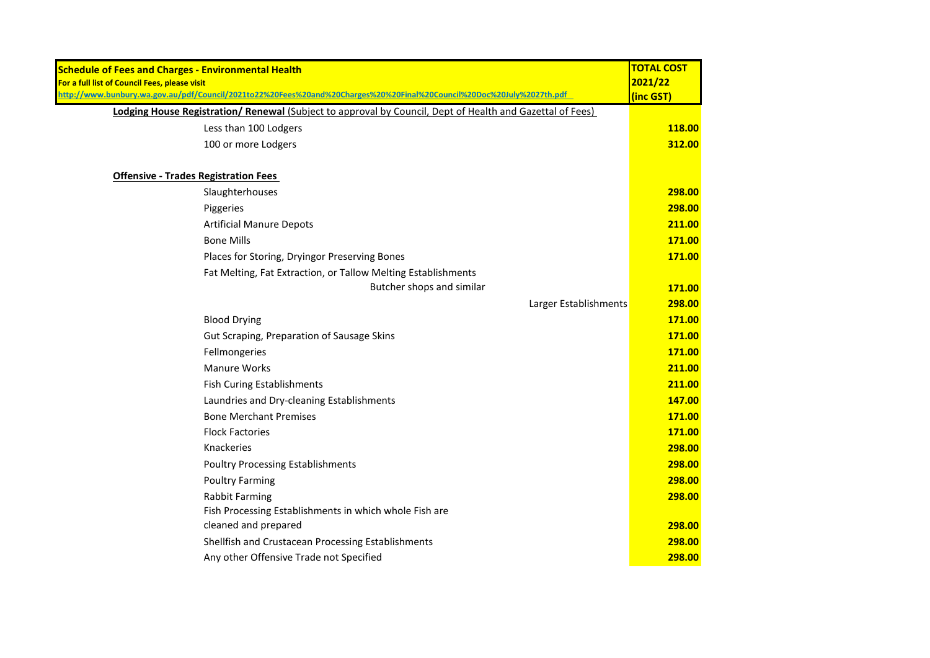| <b>Schedule of Fees and Charges - Environmental Health</b>                                                            | <b>TOTAL COST</b> |
|-----------------------------------------------------------------------------------------------------------------------|-------------------|
| For a full list of Council Fees, please visit                                                                         | 2021/22           |
| http://www.bunbury.wa.gov.au/pdf/Council/2021to22%20Fees%20and%20Charges%20%20Final%20Council%20Doc%20July%2027th.pdf | (inc GST)         |
| Lodging House Registration/ Renewal (Subject to approval by Council, Dept of Health and Gazettal of Fees)             |                   |
| Less than 100 Lodgers                                                                                                 | 118.00            |
| 100 or more Lodgers                                                                                                   | 312.00            |
| <b>Offensive - Trades Registration Fees</b>                                                                           |                   |
| Slaughterhouses                                                                                                       | 298.00            |
| Piggeries                                                                                                             | 298.00            |
| <b>Artificial Manure Depots</b>                                                                                       | 211.00            |
| <b>Bone Mills</b>                                                                                                     | 171.00            |
| Places for Storing, Dryingor Preserving Bones                                                                         | 171.00            |
| Fat Melting, Fat Extraction, or Tallow Melting Establishments                                                         |                   |
| Butcher shops and similar                                                                                             | 171.00            |
| Larger Establishments                                                                                                 | 298.00            |
| <b>Blood Drying</b>                                                                                                   | 171.00            |
| Gut Scraping, Preparation of Sausage Skins                                                                            | 171.00            |
| Fellmongeries                                                                                                         | 171.00            |
| <b>Manure Works</b>                                                                                                   | 211.00            |
| <b>Fish Curing Establishments</b>                                                                                     | 211.00            |
| Laundries and Dry-cleaning Establishments                                                                             | 147.00            |
| <b>Bone Merchant Premises</b>                                                                                         | 171.00            |
| <b>Flock Factories</b>                                                                                                | 171.00            |
| Knackeries                                                                                                            | 298.00            |
| <b>Poultry Processing Establishments</b>                                                                              | 298.00            |
| <b>Poultry Farming</b>                                                                                                | 298.00            |
| <b>Rabbit Farming</b>                                                                                                 | 298.00            |
| Fish Processing Establishments in which whole Fish are                                                                |                   |
| cleaned and prepared                                                                                                  | 298.00            |
| Shellfish and Crustacean Processing Establishments                                                                    | 298.00            |
| Any other Offensive Trade not Specified                                                                               | 298.00            |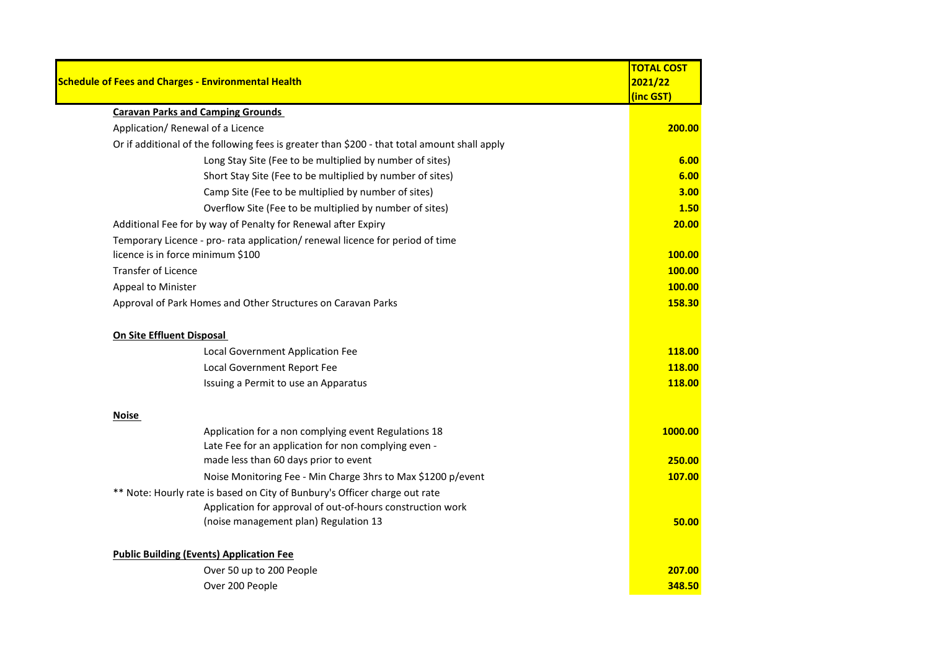|                                                                            |                                                                                              | <b>TOTAL COST</b> |
|----------------------------------------------------------------------------|----------------------------------------------------------------------------------------------|-------------------|
|                                                                            | <b>Schedule of Fees and Charges - Environmental Health</b>                                   | 2021/22           |
|                                                                            |                                                                                              | (inc GST)         |
|                                                                            | <b>Caravan Parks and Camping Grounds</b>                                                     |                   |
|                                                                            | Application/ Renewal of a Licence                                                            | 200.00            |
|                                                                            | Or if additional of the following fees is greater than \$200 - that total amount shall apply |                   |
|                                                                            | Long Stay Site (Fee to be multiplied by number of sites)                                     | 6.00              |
|                                                                            | Short Stay Site (Fee to be multiplied by number of sites)                                    | 6.00              |
|                                                                            | Camp Site (Fee to be multiplied by number of sites)                                          | 3.00              |
|                                                                            | Overflow Site (Fee to be multiplied by number of sites)                                      | 1.50              |
|                                                                            | Additional Fee for by way of Penalty for Renewal after Expiry                                | 20.00             |
|                                                                            | Temporary Licence - pro- rata application/ renewal licence for period of time                |                   |
|                                                                            | licence is in force minimum \$100                                                            | 100.00            |
| <b>Transfer of Licence</b>                                                 |                                                                                              | 100.00            |
| Appeal to Minister                                                         |                                                                                              | 100.00            |
|                                                                            | Approval of Park Homes and Other Structures on Caravan Parks                                 | 158.30            |
| On Site Effluent Disposal                                                  |                                                                                              |                   |
|                                                                            | Local Government Application Fee                                                             | 118.00            |
|                                                                            | Local Government Report Fee                                                                  | 118.00            |
|                                                                            | Issuing a Permit to use an Apparatus                                                         | 118.00            |
| <b>Noise</b>                                                               |                                                                                              |                   |
|                                                                            | Application for a non complying event Regulations 18                                         | 1000.00           |
|                                                                            | Late Fee for an application for non complying even -                                         |                   |
|                                                                            | made less than 60 days prior to event                                                        | 250.00            |
|                                                                            | Noise Monitoring Fee - Min Charge 3hrs to Max \$1200 p/event                                 | 107.00            |
| ** Note: Hourly rate is based on City of Bunbury's Officer charge out rate |                                                                                              |                   |
|                                                                            | Application for approval of out-of-hours construction work                                   |                   |
|                                                                            | (noise management plan) Regulation 13                                                        | 50.00             |
|                                                                            | <b>Public Building (Events) Application Fee</b>                                              |                   |
|                                                                            | Over 50 up to 200 People                                                                     | 207.00            |
|                                                                            | Over 200 People                                                                              | 348.50            |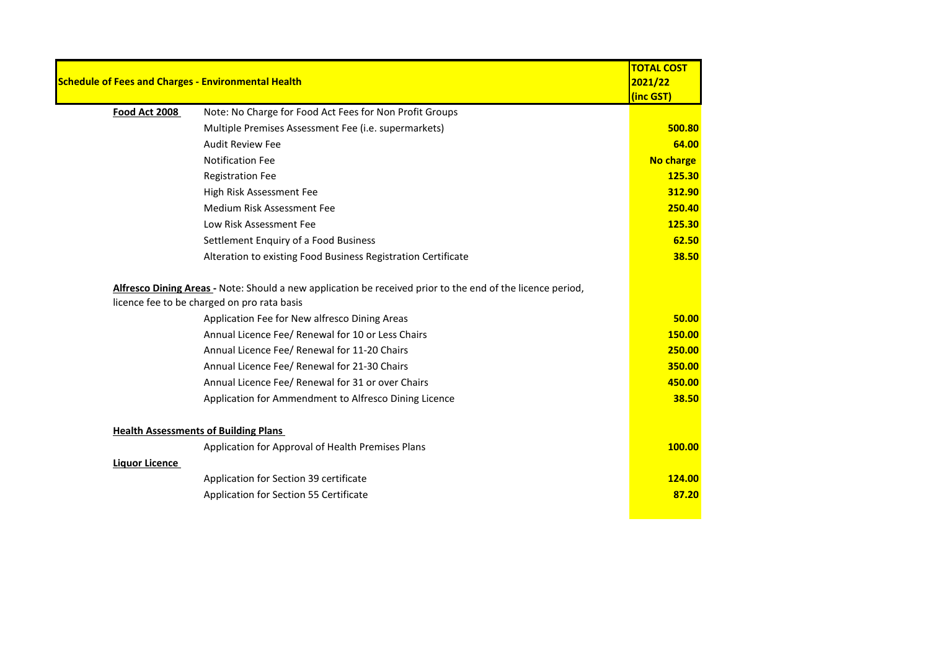|                       |                                                                                                                                                           | <b>TOTAL COST</b> |
|-----------------------|-----------------------------------------------------------------------------------------------------------------------------------------------------------|-------------------|
|                       | <b>Schedule of Fees and Charges - Environmental Health</b>                                                                                                | 2021/22           |
|                       |                                                                                                                                                           | (inc GST)         |
| Food Act 2008         | Note: No Charge for Food Act Fees for Non Profit Groups                                                                                                   |                   |
|                       | Multiple Premises Assessment Fee (i.e. supermarkets)                                                                                                      | 500.80            |
|                       | <b>Audit Review Fee</b>                                                                                                                                   | 64.00             |
|                       | <b>Notification Fee</b>                                                                                                                                   | No charge         |
|                       | <b>Registration Fee</b>                                                                                                                                   | 125.30            |
|                       | High Risk Assessment Fee                                                                                                                                  | 312.90            |
|                       | Medium Risk Assessment Fee                                                                                                                                | 250.40            |
|                       | Low Risk Assessment Fee                                                                                                                                   | 125.30            |
|                       | Settlement Enquiry of a Food Business                                                                                                                     | 62.50             |
|                       | Alteration to existing Food Business Registration Certificate                                                                                             | 38.50             |
|                       | Alfresco Dining Areas - Note: Should a new application be received prior to the end of the licence period,<br>licence fee to be charged on pro rata basis |                   |
|                       | Application Fee for New alfresco Dining Areas                                                                                                             | 50.00             |
|                       | Annual Licence Fee/ Renewal for 10 or Less Chairs                                                                                                         | 150.00            |
|                       | Annual Licence Fee/ Renewal for 11-20 Chairs                                                                                                              | 250.00            |
|                       | Annual Licence Fee/ Renewal for 21-30 Chairs                                                                                                              | 350.00            |
|                       | Annual Licence Fee/ Renewal for 31 or over Chairs                                                                                                         | 450.00            |
|                       | Application for Ammendment to Alfresco Dining Licence                                                                                                     | 38.50             |
|                       | <b>Health Assessments of Building Plans</b>                                                                                                               |                   |
|                       | Application for Approval of Health Premises Plans                                                                                                         | 100.00            |
| <b>Liquor Licence</b> |                                                                                                                                                           |                   |
|                       | Application for Section 39 certificate                                                                                                                    | 124.00            |
|                       | Application for Section 55 Certificate                                                                                                                    | 87.20             |
|                       |                                                                                                                                                           |                   |